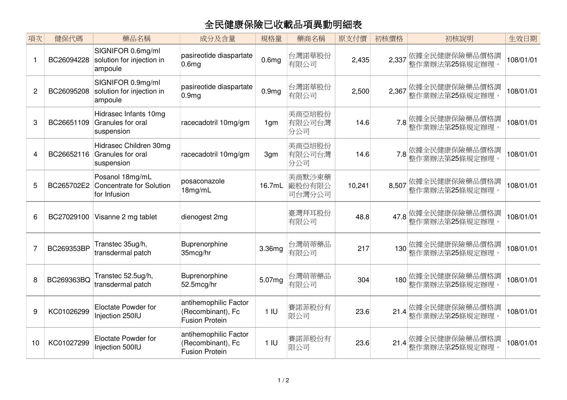## 全民健康保險已收載品項異動明細表

| 項次             | 健保代碼       | 藥品名稱                                                               | 成分及含量                                                               | 規格量               | 藥商名稱                       | 原支付價   | 初核價格  | 初核說明                                     | 生效日期      |
|----------------|------------|--------------------------------------------------------------------|---------------------------------------------------------------------|-------------------|----------------------------|--------|-------|------------------------------------------|-----------|
|                | BC26094228 | SIGNIFOR 0.6mg/ml<br>solution for injection in<br>ampoule          | pasireotide diaspartate<br>0.6 <sub>mg</sub>                        | 0.6 <sub>mg</sub> | 台灣諾華股份<br>有限公司             | 2,435  | 2,337 | 依據全民健康保險藥品價格調<br>整作業辦法第25條規定辦理。          | 108/01/01 |
| $\overline{c}$ | BC26095208 | SIGNIFOR 0.9mg/ml<br>solution for injection in<br>ampoule          | pasireotide diaspartate<br>0.9 <sub>mg</sub>                        | 0.9 <sub>mg</sub> | 台灣諾華股份<br>有限公司             | 2,500  | 2,367 | 依據全民健康保險藥品價格調<br>整作業辦法第25條規定辦理。          | 108/01/01 |
| 3              | BC26651109 | Hidrasec Infants 10mg<br>Granules for oral<br>suspension           | racecadotril 10mg/gm                                                | 1 <sub>gm</sub>   | 美商亞培股份<br>有限公司台灣<br>分公司    | 14.6   | 7.8   | 依據全民健康保險藥品價格調<br>整作業辦法第25條規定辦理。          | 108/01/01 |
| 4              | BC26652116 | Hidrasec Children 30mg<br>Granules for oral<br>suspension          | racecadotril 10mg/gm                                                | 3gm               | 美商亞培股份<br>有限公司台灣<br>分公司    | 14.6   |       | 7.8 依據全民健康保險藥品價格調<br>7.8 整作業辦法第25條規定辦理。  | 108/01/01 |
| 5              | BC265702E2 | Posanol 18mg/mL<br><b>Concentrate for Solution</b><br>for Infusion | posaconazole<br>18mg/mL                                             | 16.7mL            | 美商默沙東藥<br>廠股份有限公<br>司台灣分公司 | 10,241 | 8.507 | 依據全民健康保險藥品價格調<br>整作業辦法第25條規定辦理。          | 108/01/01 |
| 6              | BC27029100 | Visanne 2 mg tablet                                                | dienogest 2mg                                                       |                   | 臺灣拜耳股份<br>有限公司             | 48.8   | 47.8  | 依據全民健康保險藥品價格調<br>整作業辦法第25條規定辦理。          | 108/01/01 |
| $\overline{7}$ | BC269353BP | Transtec 35ug/h,<br>transdermal patch                              | Buprenorphine<br>35mcg/hr                                           | 3.36mg            | 台灣萌蒂藥品<br>有限公司             | 217    | 130   | 依據全民健康保險藥品價格調<br>整作業辦法第25條規定辦理。          | 108/01/01 |
| 8              | BC269363BQ | Transtec 52.5ug/h,<br>transdermal patch                            | Buprenorphine<br>52.5mcg/hr                                         | 5.07mg            | 台灣萌蒂藥品<br>有限公司             | 304    | 180   | 依據全民健康保險藥品價格調<br>整作業辦法第25條規定辦理。          | 108/01/01 |
| 9              | KC01026299 | Eloctate Powder for<br>Injection 250IU                             | antihemophilic Factor<br>(Recombinant), Fc<br><b>Fusion Protein</b> | 1 <sub>1</sub>    | 賽諾菲股份有<br>限公司              | 23.6   | 21.4  | 依據全民健康保險藥品價格調<br>整作業辦法第 <b>25</b> 條規定辦理。 | 108/01/01 |
| 10             | KC01027299 | Eloctate Powder for<br>Injection 500IU                             | antihemophilic Factor<br>(Recombinant), Fc<br><b>Fusion Protein</b> | 1 <sub>1</sub>    | 賽諾菲股份有<br>限公司              | 23.6   | 21.4  | 依據全民健康保險藥品價格調<br>整作業辦法第25條規定辦理。          | 108/01/01 |